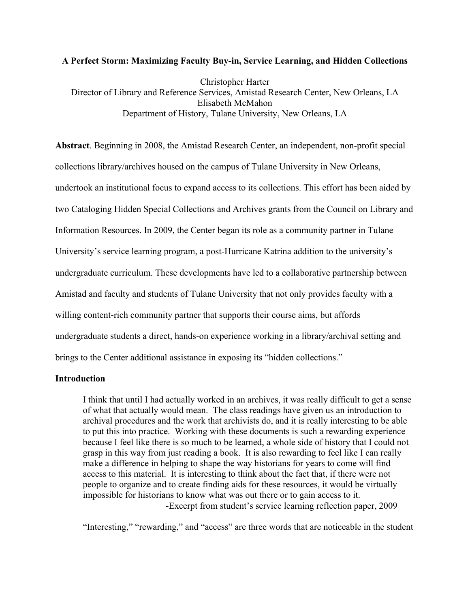#### **A Perfect Storm: Maximizing Faculty Buy-in, Service Learning, and Hidden Collections**

Christopher Harter Director of Library and Reference Services, Amistad Research Center, New Orleans, LA Elisabeth McMahon Department of History, Tulane University, New Orleans, LA

**Abstract**. Beginning in 2008, the Amistad Research Center, an independent, non-profit special collections library/archives housed on the campus of Tulane University in New Orleans, undertook an institutional focus to expand access to its collections. This effort has been aided by two Cataloging Hidden Special Collections and Archives grants from the Council on Library and Information Resources. In 2009, the Center began its role as a community partner in Tulane University's service learning program, a post-Hurricane Katrina addition to the university's undergraduate curriculum. These developments have led to a collaborative partnership between Amistad and faculty and students of Tulane University that not only provides faculty with a willing content-rich community partner that supports their course aims, but affords undergraduate students a direct, hands-on experience working in a library/archival setting and brings to the Center additional assistance in exposing its "hidden collections."

### **Introduction**

I think that until I had actually worked in an archives, it was really difficult to get a sense of what that actually would mean. The class readings have given us an introduction to archival procedures and the work that archivists do, and it is really interesting to be able to put this into practice. Working with these documents is such a rewarding experience because I feel like there is so much to be learned, a whole side of history that I could not grasp in this way from just reading a book. It is also rewarding to feel like I can really make a difference in helping to shape the way historians for years to come will find access to this material. It is interesting to think about the fact that, if there were not people to organize and to create finding aids for these resources, it would be virtually impossible for historians to know what was out there or to gain access to it. -Excerpt from student's service learning reflection paper, 2009

"Interesting," "rewarding," and "access" are three words that are noticeable in the student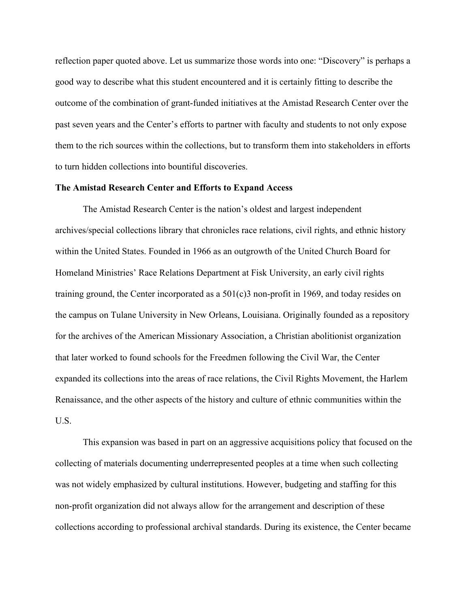reflection paper quoted above. Let us summarize those words into one: "Discovery" is perhaps a good way to describe what this student encountered and it is certainly fitting to describe the outcome of the combination of grant-funded initiatives at the Amistad Research Center over the past seven years and the Center's efforts to partner with faculty and students to not only expose them to the rich sources within the collections, but to transform them into stakeholders in efforts to turn hidden collections into bountiful discoveries.

#### **The Amistad Research Center and Efforts to Expand Access**

The Amistad Research Center is the nation's oldest and largest independent archives/special collections library that chronicles race relations, civil rights, and ethnic history within the United States. Founded in 1966 as an outgrowth of the United Church Board for Homeland Ministries' Race Relations Department at Fisk University, an early civil rights training ground, the Center incorporated as a  $501(c)3$  non-profit in 1969, and today resides on the campus on Tulane University in New Orleans, Louisiana. Originally founded as a repository for the archives of the American Missionary Association, a Christian abolitionist organization that later worked to found schools for the Freedmen following the Civil War, the Center expanded its collections into the areas of race relations, the Civil Rights Movement, the Harlem Renaissance, and the other aspects of the history and culture of ethnic communities within the U.S.

This expansion was based in part on an aggressive acquisitions policy that focused on the collecting of materials documenting underrepresented peoples at a time when such collecting was not widely emphasized by cultural institutions. However, budgeting and staffing for this non-profit organization did not always allow for the arrangement and description of these collections according to professional archival standards. During its existence, the Center became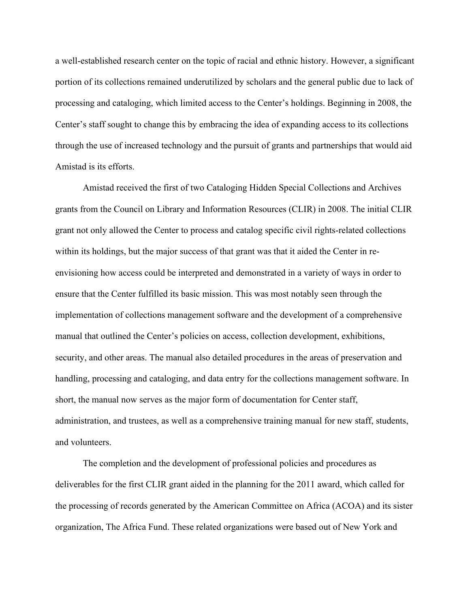a well-established research center on the topic of racial and ethnic history. However, a significant portion of its collections remained underutilized by scholars and the general public due to lack of processing and cataloging, which limited access to the Center's holdings. Beginning in 2008, the Center's staff sought to change this by embracing the idea of expanding access to its collections through the use of increased technology and the pursuit of grants and partnerships that would aid Amistad is its efforts.

Amistad received the first of two Cataloging Hidden Special Collections and Archives grants from the Council on Library and Information Resources (CLIR) in 2008. The initial CLIR grant not only allowed the Center to process and catalog specific civil rights-related collections within its holdings, but the major success of that grant was that it aided the Center in reenvisioning how access could be interpreted and demonstrated in a variety of ways in order to ensure that the Center fulfilled its basic mission. This was most notably seen through the implementation of collections management software and the development of a comprehensive manual that outlined the Center's policies on access, collection development, exhibitions, security, and other areas. The manual also detailed procedures in the areas of preservation and handling, processing and cataloging, and data entry for the collections management software. In short, the manual now serves as the major form of documentation for Center staff, administration, and trustees, as well as a comprehensive training manual for new staff, students, and volunteers.

The completion and the development of professional policies and procedures as deliverables for the first CLIR grant aided in the planning for the 2011 award, which called for the processing of records generated by the American Committee on Africa (ACOA) and its sister organization, The Africa Fund. These related organizations were based out of New York and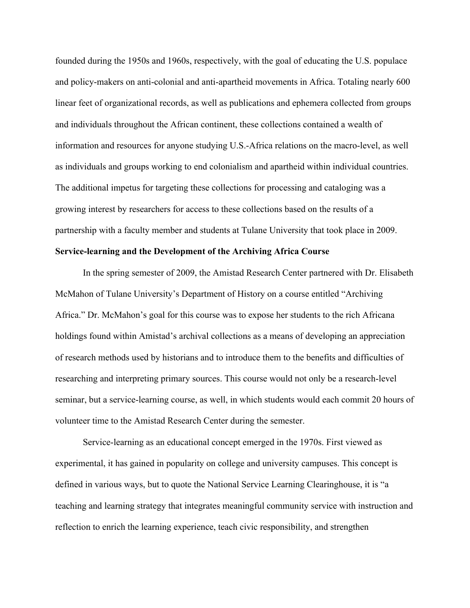founded during the 1950s and 1960s, respectively, with the goal of educating the U.S. populace and policy-makers on anti-colonial and anti-apartheid movements in Africa. Totaling nearly 600 linear feet of organizational records, as well as publications and ephemera collected from groups and individuals throughout the African continent, these collections contained a wealth of information and resources for anyone studying U.S.-Africa relations on the macro-level, as well as individuals and groups working to end colonialism and apartheid within individual countries. The additional impetus for targeting these collections for processing and cataloging was a growing interest by researchers for access to these collections based on the results of a partnership with a faculty member and students at Tulane University that took place in 2009.

#### **Service-learning and the Development of the Archiving Africa Course**

In the spring semester of 2009, the Amistad Research Center partnered with Dr. Elisabeth McMahon of Tulane University's Department of History on a course entitled "Archiving Africa." Dr. McMahon's goal for this course was to expose her students to the rich Africana holdings found within Amistad's archival collections as a means of developing an appreciation of research methods used by historians and to introduce them to the benefits and difficulties of researching and interpreting primary sources. This course would not only be a research-level seminar, but a service-learning course, as well, in which students would each commit 20 hours of volunteer time to the Amistad Research Center during the semester.

Service-learning as an educational concept emerged in the 1970s. First viewed as experimental, it has gained in popularity on college and university campuses. This concept is defined in various ways, but to quote the National Service Learning Clearinghouse, it is "a teaching and learning strategy that integrates meaningful community service with instruction and reflection to enrich the learning experience, teach civic responsibility, and strengthen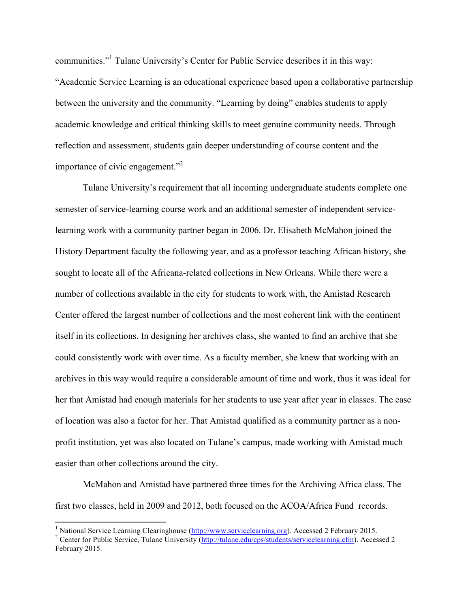communities."<sup>1</sup> Tulane University's Center for Public Service describes it in this way: "Academic Service Learning is an educational experience based upon a collaborative partnership between the university and the community. "Learning by doing" enables students to apply academic knowledge and critical thinking skills to meet genuine community needs. Through reflection and assessment, students gain deeper understanding of course content and the importance of civic engagement."2

Tulane University's requirement that all incoming undergraduate students complete one semester of service-learning course work and an additional semester of independent servicelearning work with a community partner began in 2006. Dr. Elisabeth McMahon joined the History Department faculty the following year, and as a professor teaching African history, she sought to locate all of the Africana-related collections in New Orleans. While there were a number of collections available in the city for students to work with, the Amistad Research Center offered the largest number of collections and the most coherent link with the continent itself in its collections. In designing her archives class, she wanted to find an archive that she could consistently work with over time. As a faculty member, she knew that working with an archives in this way would require a considerable amount of time and work, thus it was ideal for her that Amistad had enough materials for her students to use year after year in classes. The ease of location was also a factor for her. That Amistad qualified as a community partner as a nonprofit institution, yet was also located on Tulane's campus, made working with Amistad much easier than other collections around the city.

McMahon and Amistad have partnered three times for the Archiving Africa class. The first two classes, held in 2009 and 2012, both focused on the ACOA/Africa Fund records.

 

<sup>&</sup>lt;sup>1</sup> National Service Learning Clearinghouse ( $\frac{http://www.servicelearning.org)}{http://tulan.edu/cps/students/servicelearning.cfm)}$ . Accessed 2 Center for Public Service, Tulane University ( $http://tulan.edu/cps/students/servicelearning.cfm)$ . Accessed 2

February 2015.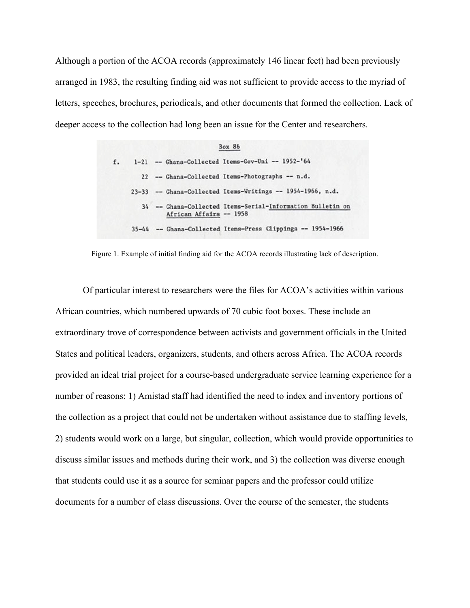Although a portion of the ACOA records (approximately 146 linear feet) had been previously arranged in 1983, the resulting finding aid was not sufficient to provide access to the myriad of letters, speeches, brochures, periodicals, and other documents that formed the collection. Lack of deeper access to the collection had long been an issue for the Center and researchers.

|    | <b>Box 86</b>                                                                         |
|----|---------------------------------------------------------------------------------------|
| f. | 1-21 -- Ghana-Collected Items-Gov-Uni -- 1952-'64                                     |
|    | 22 -- Ghana-Collected Items-Photographs -- n.d.                                       |
|    | 23-33 -- Ghana-Collected Items-Writings -- 1954-1966, n.d.                            |
|    | 34 -- Ghana-Collected Items-Serial-Information Bulletin on<br>African Affairs -- 1958 |
|    | 35-44 -- Ghana-Collected Items-Press Clippings -- 1954-1966                           |

Figure 1. Example of initial finding aid for the ACOA records illustrating lack of description.

Of particular interest to researchers were the files for ACOA's activities within various African countries, which numbered upwards of 70 cubic foot boxes. These include an extraordinary trove of correspondence between activists and government officials in the United States and political leaders, organizers, students, and others across Africa. The ACOA records provided an ideal trial project for a course-based undergraduate service learning experience for a number of reasons: 1) Amistad staff had identified the need to index and inventory portions of the collection as a project that could not be undertaken without assistance due to staffing levels, 2) students would work on a large, but singular, collection, which would provide opportunities to discuss similar issues and methods during their work, and 3) the collection was diverse enough that students could use it as a source for seminar papers and the professor could utilize documents for a number of class discussions. Over the course of the semester, the students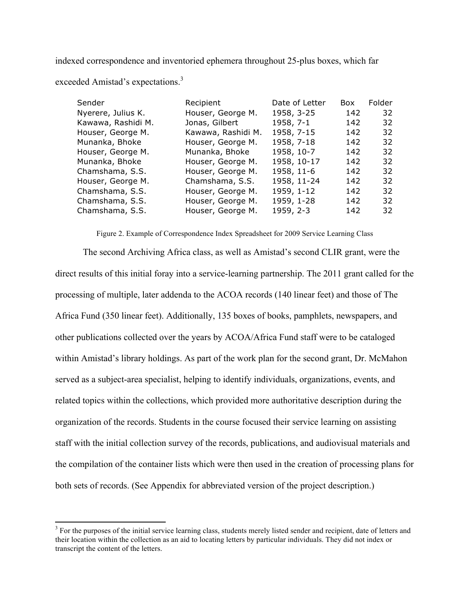indexed correspondence and inventoried ephemera throughout 25-plus boxes, which far

| exceeded Amistad's expectations. <sup>3</sup> |  |  |  |
|-----------------------------------------------|--|--|--|
|                                               |  |  |  |

 

| Sender             | Recipient          | Date of Letter | <b>Box</b> | Folder |
|--------------------|--------------------|----------------|------------|--------|
| Nyerere, Julius K. | Houser, George M.  | 1958, 3-25     | 142        | 32     |
| Kawawa, Rashidi M. | Jonas, Gilbert     | 1958, 7-1      | 142        | 32     |
| Houser, George M.  | Kawawa, Rashidi M. | 1958, 7-15     | 142        | 32     |
| Munanka, Bhoke     | Houser, George M.  | 1958, 7-18     | 142        | 32     |
| Houser, George M.  | Munanka, Bhoke     | 1958, 10-7     | 142        | 32     |
| Munanka, Bhoke     | Houser, George M.  | 1958, 10-17    | 142        | 32     |
| Chamshama, S.S.    | Houser, George M.  | 1958, 11-6     | 142        | 32     |
| Houser, George M.  | Chamshama, S.S.    | 1958, 11-24    | 142        | 32     |
| Chamshama, S.S.    | Houser, George M.  | 1959, 1-12     | 142        | 32     |
| Chamshama, S.S.    | Houser, George M.  | 1959, 1-28     | 142        | 32     |
| Chamshama, S.S.    | Houser, George M.  | 1959, 2-3      | 142        | 32     |

Figure 2. Example of Correspondence Index Spreadsheet for 2009 Service Learning Class

The second Archiving Africa class, as well as Amistad's second CLIR grant, were the direct results of this initial foray into a service-learning partnership. The 2011 grant called for the processing of multiple, later addenda to the ACOA records (140 linear feet) and those of The Africa Fund (350 linear feet). Additionally, 135 boxes of books, pamphlets, newspapers, and other publications collected over the years by ACOA/Africa Fund staff were to be cataloged within Amistad's library holdings. As part of the work plan for the second grant, Dr. McMahon served as a subject-area specialist, helping to identify individuals, organizations, events, and related topics within the collections, which provided more authoritative description during the organization of the records. Students in the course focused their service learning on assisting staff with the initial collection survey of the records, publications, and audiovisual materials and the compilation of the container lists which were then used in the creation of processing plans for both sets of records. (See Appendix for abbreviated version of the project description.)

<sup>&</sup>lt;sup>3</sup> For the purposes of the initial service learning class, students merely listed sender and recipient, date of letters and their location within the collection as an aid to locating letters by particular individuals. They did not index or transcript the content of the letters.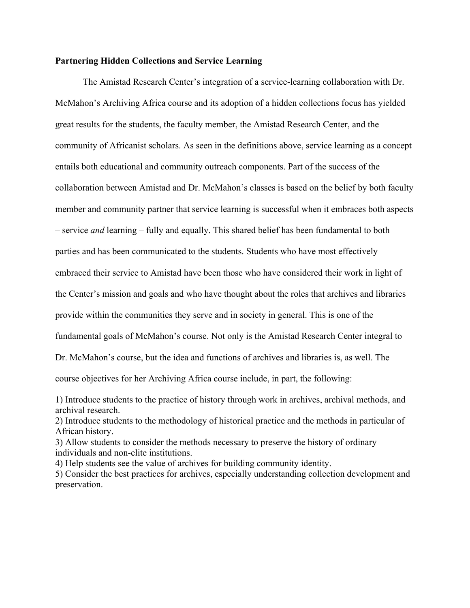#### **Partnering Hidden Collections and Service Learning**

The Amistad Research Center's integration of a service-learning collaboration with Dr. McMahon's Archiving Africa course and its adoption of a hidden collections focus has yielded great results for the students, the faculty member, the Amistad Research Center, and the community of Africanist scholars. As seen in the definitions above, service learning as a concept entails both educational and community outreach components. Part of the success of the collaboration between Amistad and Dr. McMahon's classes is based on the belief by both faculty member and community partner that service learning is successful when it embraces both aspects – service *and* learning – fully and equally. This shared belief has been fundamental to both parties and has been communicated to the students. Students who have most effectively embraced their service to Amistad have been those who have considered their work in light of the Center's mission and goals and who have thought about the roles that archives and libraries provide within the communities they serve and in society in general. This is one of the fundamental goals of McMahon's course. Not only is the Amistad Research Center integral to Dr. McMahon's course, but the idea and functions of archives and libraries is, as well. The course objectives for her Archiving Africa course include, in part, the following:

4) Help students see the value of archives for building community identity.

<sup>1)</sup> Introduce students to the practice of history through work in archives, archival methods, and archival research.

<sup>2)</sup> Introduce students to the methodology of historical practice and the methods in particular of African history.

<sup>3)</sup> Allow students to consider the methods necessary to preserve the history of ordinary individuals and non-elite institutions.

<sup>5)</sup> Consider the best practices for archives, especially understanding collection development and preservation.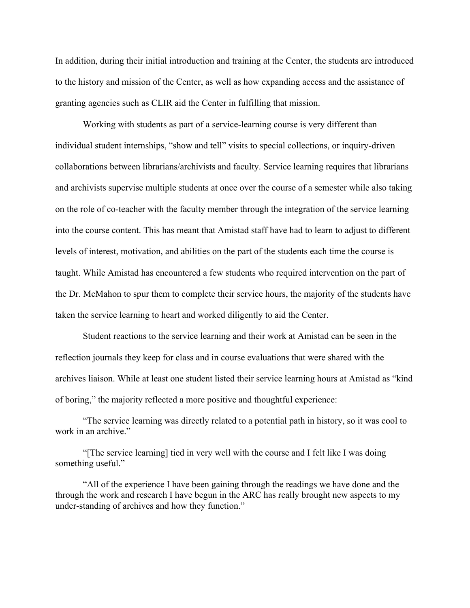In addition, during their initial introduction and training at the Center, the students are introduced to the history and mission of the Center, as well as how expanding access and the assistance of granting agencies such as CLIR aid the Center in fulfilling that mission.

Working with students as part of a service-learning course is very different than individual student internships, "show and tell" visits to special collections, or inquiry-driven collaborations between librarians/archivists and faculty. Service learning requires that librarians and archivists supervise multiple students at once over the course of a semester while also taking on the role of co-teacher with the faculty member through the integration of the service learning into the course content. This has meant that Amistad staff have had to learn to adjust to different levels of interest, motivation, and abilities on the part of the students each time the course is taught. While Amistad has encountered a few students who required intervention on the part of the Dr. McMahon to spur them to complete their service hours, the majority of the students have taken the service learning to heart and worked diligently to aid the Center.

Student reactions to the service learning and their work at Amistad can be seen in the reflection journals they keep for class and in course evaluations that were shared with the archives liaison. While at least one student listed their service learning hours at Amistad as "kind of boring," the majority reflected a more positive and thoughtful experience:

"The service learning was directly related to a potential path in history, so it was cool to work in an archive."

"[The service learning] tied in very well with the course and I felt like I was doing something useful."

"All of the experience I have been gaining through the readings we have done and the through the work and research I have begun in the ARC has really brought new aspects to my under-standing of archives and how they function."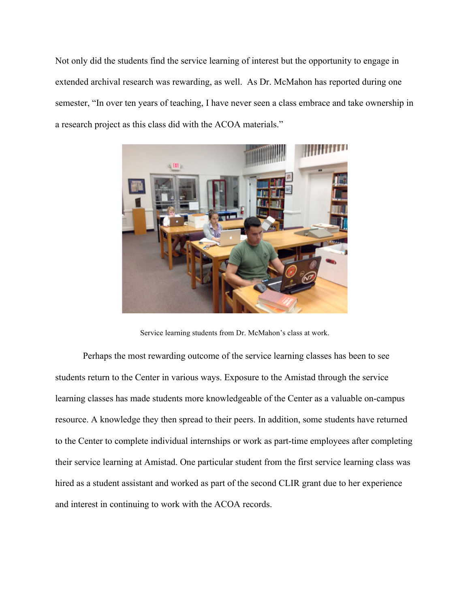Not only did the students find the service learning of interest but the opportunity to engage in extended archival research was rewarding, as well. As Dr. McMahon has reported during one semester, "In over ten years of teaching, I have never seen a class embrace and take ownership in a research project as this class did with the ACOA materials."



Service learning students from Dr. McMahon's class at work.

Perhaps the most rewarding outcome of the service learning classes has been to see students return to the Center in various ways. Exposure to the Amistad through the service learning classes has made students more knowledgeable of the Center as a valuable on-campus resource. A knowledge they then spread to their peers. In addition, some students have returned to the Center to complete individual internships or work as part-time employees after completing their service learning at Amistad. One particular student from the first service learning class was hired as a student assistant and worked as part of the second CLIR grant due to her experience and interest in continuing to work with the ACOA records.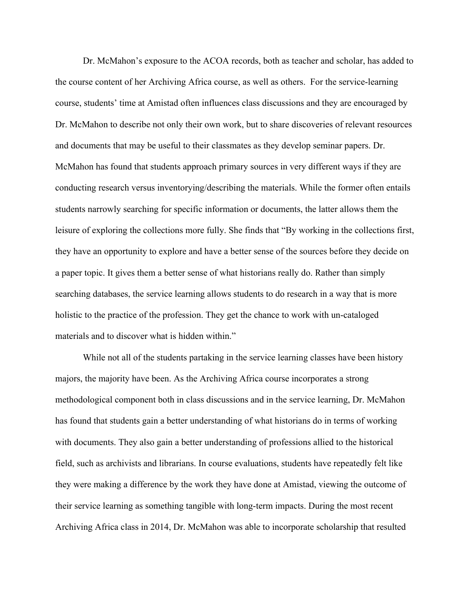Dr. McMahon's exposure to the ACOA records, both as teacher and scholar, has added to the course content of her Archiving Africa course, as well as others. For the service-learning course, students' time at Amistad often influences class discussions and they are encouraged by Dr. McMahon to describe not only their own work, but to share discoveries of relevant resources and documents that may be useful to their classmates as they develop seminar papers. Dr. McMahon has found that students approach primary sources in very different ways if they are conducting research versus inventorying/describing the materials. While the former often entails students narrowly searching for specific information or documents, the latter allows them the leisure of exploring the collections more fully. She finds that "By working in the collections first, they have an opportunity to explore and have a better sense of the sources before they decide on a paper topic. It gives them a better sense of what historians really do. Rather than simply searching databases, the service learning allows students to do research in a way that is more holistic to the practice of the profession. They get the chance to work with un-cataloged materials and to discover what is hidden within."

While not all of the students partaking in the service learning classes have been history majors, the majority have been. As the Archiving Africa course incorporates a strong methodological component both in class discussions and in the service learning, Dr. McMahon has found that students gain a better understanding of what historians do in terms of working with documents. They also gain a better understanding of professions allied to the historical field, such as archivists and librarians. In course evaluations, students have repeatedly felt like they were making a difference by the work they have done at Amistad, viewing the outcome of their service learning as something tangible with long-term impacts. During the most recent Archiving Africa class in 2014, Dr. McMahon was able to incorporate scholarship that resulted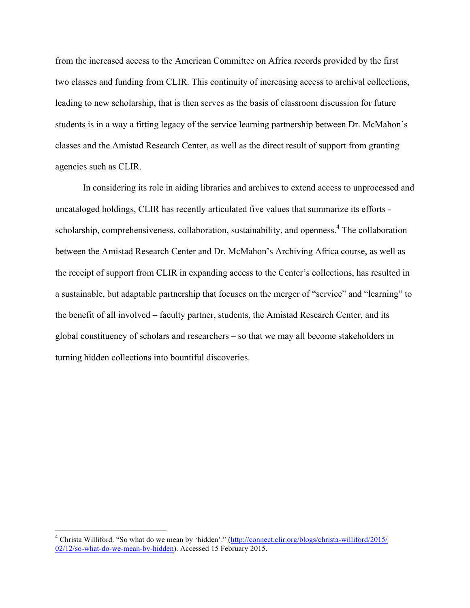from the increased access to the American Committee on Africa records provided by the first two classes and funding from CLIR. This continuity of increasing access to archival collections, leading to new scholarship, that is then serves as the basis of classroom discussion for future students is in a way a fitting legacy of the service learning partnership between Dr. McMahon's classes and the Amistad Research Center, as well as the direct result of support from granting agencies such as CLIR.

In considering its role in aiding libraries and archives to extend access to unprocessed and uncataloged holdings, CLIR has recently articulated five values that summarize its efforts scholarship, comprehensiveness, collaboration, sustainability, and openness.<sup>4</sup> The collaboration between the Amistad Research Center and Dr. McMahon's Archiving Africa course, as well as the receipt of support from CLIR in expanding access to the Center's collections, has resulted in a sustainable, but adaptable partnership that focuses on the merger of "service" and "learning" to the benefit of all involved – faculty partner, students, the Amistad Research Center, and its global constituency of scholars and researchers – so that we may all become stakeholders in turning hidden collections into bountiful discoveries.

<u> 1989 - Jan Stein Stein, fransk politiker (d. 1989)</u>

<sup>4</sup> Christa Williford. "So what do we mean by 'hidden'." (http://connect.clir.org/blogs/christa-williford/2015/ 02/12/so-what-do-we-mean-by-hidden). Accessed 15 February 2015.